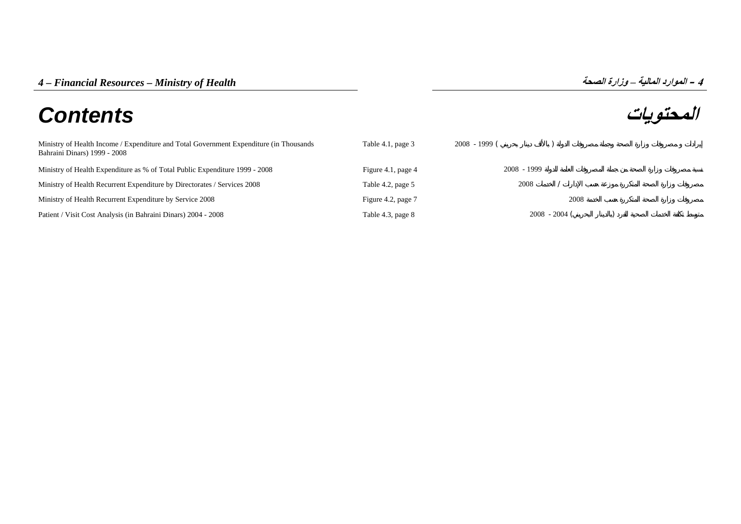## **المحتويات** *Contents*

| Ministry of Health Income / Expenditure and Total Government Expenditure (in Thousands<br>Bahraini Dinars) 1999 - 2008 | Table 4.1, page 3  | $2008 - 1999$ ( |               |  |
|------------------------------------------------------------------------------------------------------------------------|--------------------|-----------------|---------------|--|
| Ministry of Health Expenditure as % of Total Public Expenditure 1999 - 2008                                            | Figure 4.1, page 4 |                 | 2008 - 1999   |  |
| Ministry of Health Recurrent Expenditure by Directorates / Services 2008                                               | Table 4.2, page 5  |                 | 2008          |  |
| Ministry of Health Recurrent Expenditure by Service 2008                                                               | Figure 4.2, page 7 |                 | 2008          |  |
| Patient / Visit Cost Analysis (in Bahraini Dinars) 2004 - 2008                                                         | Table 4.3, page 8  |                 | $2008 - 2004$ |  |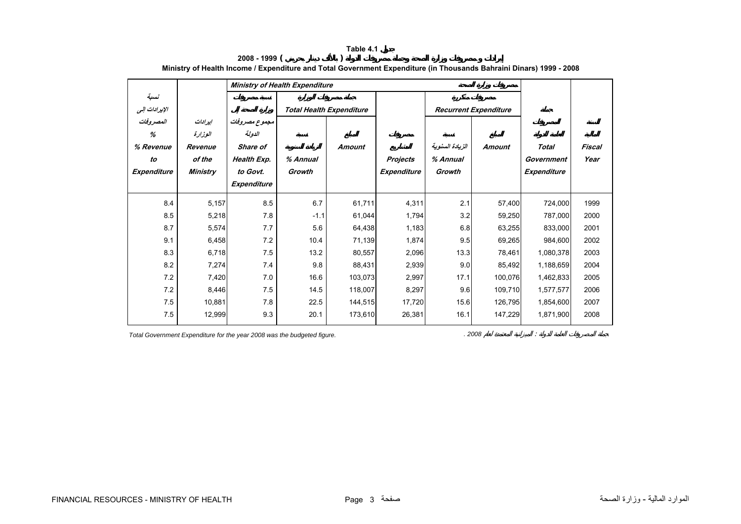<span id="page-1-0"></span>

|                                                  |                                                            | <b>Ministry of Health Expenditure</b>                                         |                    |                                 |                                |                                       |                              |                                           |                |
|--------------------------------------------------|------------------------------------------------------------|-------------------------------------------------------------------------------|--------------------|---------------------------------|--------------------------------|---------------------------------------|------------------------------|-------------------------------------------|----------------|
| نسبة<br>الإيرادات إلى                            |                                                            |                                                                               |                    | <b>Total Health Expenditure</b> |                                |                                       | <b>Recurrent Expenditure</b> |                                           |                |
| المصروفات<br>%<br>% Revenue<br>to<br>Expenditure | إيرادات<br>الوزارة<br>Revenue<br>of the<br><b>Ministry</b> | مجموع مصروفات<br>الدولة<br>Share of<br>Health Exp.<br>to Govt.<br>Expenditure | % Annual<br>Growth | <b>Amount</b>                   | Projects<br><b>Expenditure</b> | الزيادة السنوية<br>% Annual<br>Growth | <b>Amount</b>                | <b>Total</b><br>Government<br>Expenditure | Fiscal<br>Year |
| 8.4                                              | 5,157                                                      | 8.5                                                                           | 6.7                | 61,711                          | 4,311                          | 2.1                                   | 57,400                       | 724,000                                   | 1999           |
| 8.5                                              | 5,218                                                      | 7.8                                                                           | $-1.1$             | 61,044                          | 1,794                          | 3.2                                   | 59,250                       | 787,000                                   | 2000           |
| 8.7                                              | 5,574                                                      | 7.7                                                                           | 5.6                | 64,438                          | 1,183                          | 6.8                                   | 63,255                       | 833,000                                   | 2001           |
| 9.1                                              | 6,458                                                      | 7.2                                                                           | 10.4               | 71,139                          | 1,874                          | 9.5                                   | 69,265                       | 984,600                                   | 2002           |
| 8.3                                              | 6,718                                                      | 7.5                                                                           | 13.2               | 80,557                          | 2,096                          | 13.3                                  | 78,461                       | 1,080,378                                 | 2003           |
| 8.2                                              | 7,274                                                      | 7.4                                                                           | 9.8                | 88,431                          | 2,939                          | 9.0                                   | 85,492                       | 1,188,659                                 | 2004           |
| 7.2                                              | 7,420                                                      | 7.0                                                                           | 16.6               | 103,073                         | 2,997                          | 17.1                                  | 100,076                      | 1,462,833                                 | 2005           |
| 7.2                                              | 8,446                                                      | 7.5                                                                           | 14.5               | 118,007                         | 8,297                          | 9.6                                   | 109,710                      | 1,577,577                                 | 2006           |
| 7.5                                              | 10,881                                                     | 7.8                                                                           | 22.5               | 144,515                         | 17,720                         | 15.6                                  | 126,795                      | 1,854,600                                 | 2007           |
| 7.5                                              | 12,999                                                     | 9.3                                                                           | 20.1               | 173,610                         | 26,381                         | 16.1                                  | 147,229                      | 1,871,900                                 | 2008           |

**2008 - 1999 ( ) Ministry of Health Income / Expenditure and Total Government Expenditure (in Thousands Bahraini Dinars) 1999 - 2008**

**Table 4.1**

*Total Government Expenditure for the year 2008 was the budgeted figure. . 2008* . 2008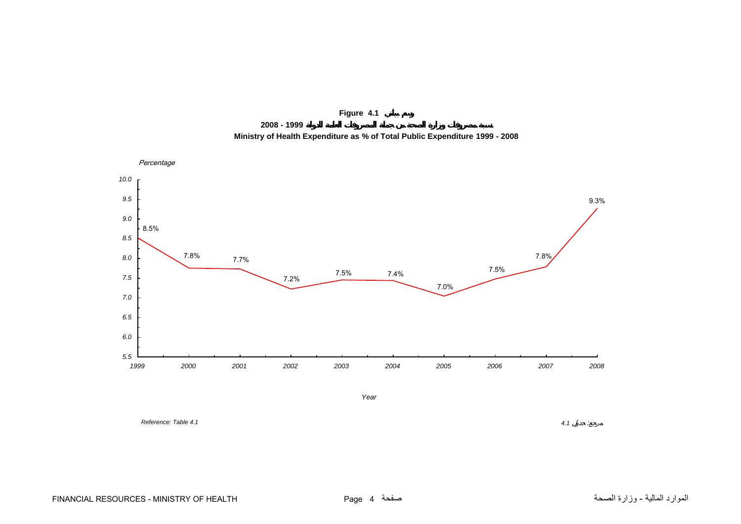

**2008 - 1999 Ministry of Health Expenditure as % of Total Public Expenditure 1999 - 2008**

<span id="page-2-0"></span>

*Reference: Table 4.1*

 *4.1* $4.1$  :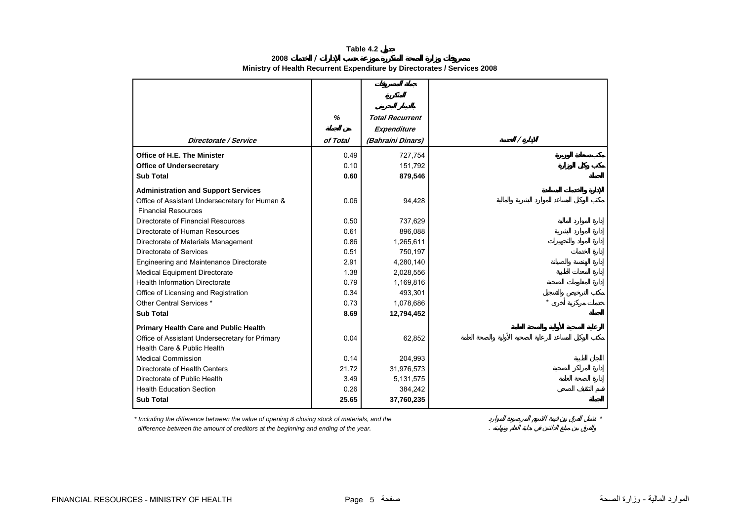**Table 4.2**

<span id="page-3-0"></span>

|                                                | %        | <b>Total Recurrent</b> |   |
|------------------------------------------------|----------|------------------------|---|
|                                                |          | Expenditure            |   |
| Directorate / Service                          | of Total | (Bahraini Dinars)      | Γ |
|                                                |          |                        |   |
| <b>Office of H.E. The Minister</b>             | 0.49     | 727,754                |   |
| <b>Office of Undersecretary</b>                | 0.10     | 151,792                |   |
| <b>Sub Total</b>                               | 0.60     | 879,546                |   |
| <b>Administration and Support Services</b>     |          |                        |   |
| Office of Assistant Undersecretary for Human & | 0.06     | 94,428                 |   |
| <b>Financial Resources</b>                     |          |                        |   |
| Directorate of Financial Resources             | 0.50     | 737,629                |   |
| Directorate of Human Resources                 | 0.61     | 896,088                |   |
| Directorate of Materials Management            | 0.86     | 1,265,611              |   |
| Directorate of Services                        | 0.51     | 750,197                |   |
| Engineering and Maintenance Directorate        | 2.91     | 4,280,140              |   |
| <b>Medical Equipment Directorate</b>           | 1.38     | 2,028,556              |   |
| <b>Health Information Directorate</b>          | 0.79     | 1,169,816              |   |
| Office of Licensing and Registration           | 0.34     | 493,301                |   |
| Other Central Services *                       | 0.73     | 1,078,686              |   |
| <b>Sub Total</b>                               | 8.69     | 12,794,452             |   |
| <b>Primary Health Care and Public Health</b>   |          |                        |   |
| Office of Assistant Undersecretary for Primary | 0.04     | 62,852                 |   |
| Health Care & Public Health                    |          |                        |   |
| <b>Medical Commission</b>                      | 0.14     | 204,993                |   |
| Directorate of Health Centers                  | 21.72    | 31,976,573             |   |
| Directorate of Public Health                   | 3.49     | 5,131,575              |   |
| <b>Health Education Section</b>                | 0.26     | 384,242                |   |
| <b>Sub Total</b>                               | 25.65    | 37,760,235             |   |

**2008 / Ministry of Health Recurrent Expenditure by Directorates / Services 2008** 

*\* Including the difference between the value of opening & closing stock of materials, and the \** 

 *difference between the amount of creditors at the beginning and ending of the year.* .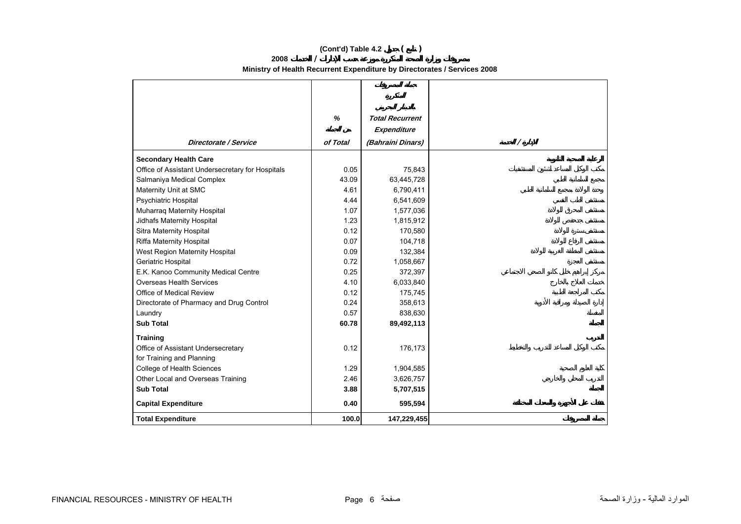## **(Cont'd) Table 4.2 ( )**

**2008/**

**Ministry of Health Recurrent Expenditure by Directorates / Services 2008** 

|                                                  | %        | <b>Total Recurrent</b> |
|--------------------------------------------------|----------|------------------------|
|                                                  |          | Expenditure            |
| <b>Directorate / Service</b>                     | of Total | (Bahraini Dinars)      |
|                                                  |          |                        |
| <b>Secondary Health Care</b>                     |          |                        |
| Office of Assistant Undersecretary for Hospitals | 0.05     | 75,843                 |
| Salmaniya Medical Complex                        | 43.09    | 63,445,728             |
| Maternity Unit at SMC                            | 4.61     | 6,790,411              |
| Psychiatric Hospital                             | 4.44     | 6,541,609              |
| Muharrag Maternity Hospital                      | 1.07     | 1,577,036              |
| Jidhafs Maternity Hospital                       | 1.23     | 1,815,912              |
| Sitra Maternity Hospital                         | 0.12     | 170,580                |
| Riffa Maternity Hospital                         | 0.07     | 104,718                |
| West Region Maternity Hospital                   | 0.09     | 132,384                |
| Geriatric Hospital                               | 0.72     | 1,058,667              |
| E.K. Kanoo Community Medical Centre              | 0.25     | 372,397                |
| <b>Overseas Health Services</b>                  | 4.10     | 6,033,840              |
| Office of Medical Review                         | 0.12     | 175,745                |
| Directorate of Pharmacy and Drug Control         | 0.24     | 358,613                |
| Laundry                                          | 0.57     | 838,630                |
| <b>Sub Total</b>                                 | 60.78    | 89,492,113             |
| <b>Training</b>                                  |          |                        |
| Office of Assistant Undersecretary               | 0.12     | 176,173                |
| for Training and Planning                        |          |                        |
| College of Health Sciences                       | 1.29     | 1,904,585              |
| Other Local and Overseas Training                | 2.46     | 3,626,757              |
| <b>Sub Total</b>                                 | 3.88     | 5,707,515              |
| <b>Capital Expenditure</b>                       | 0.40     | 595,594                |
| <b>Total Expenditure</b>                         | 100.0    | 147,229,455            |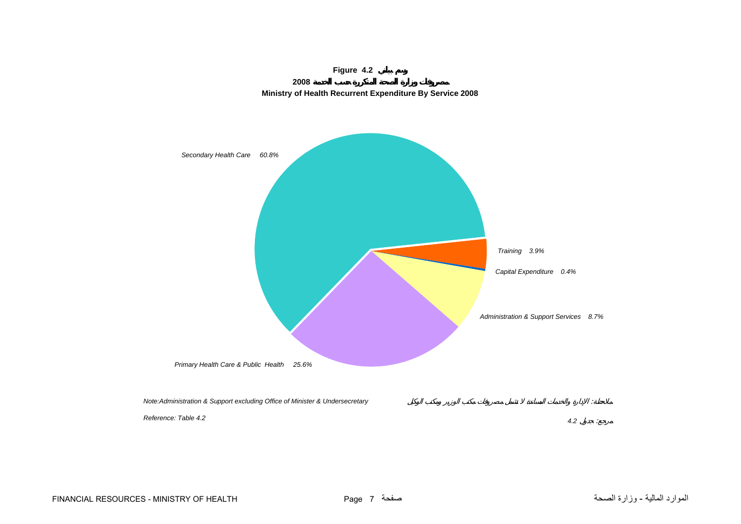<span id="page-5-0"></span>